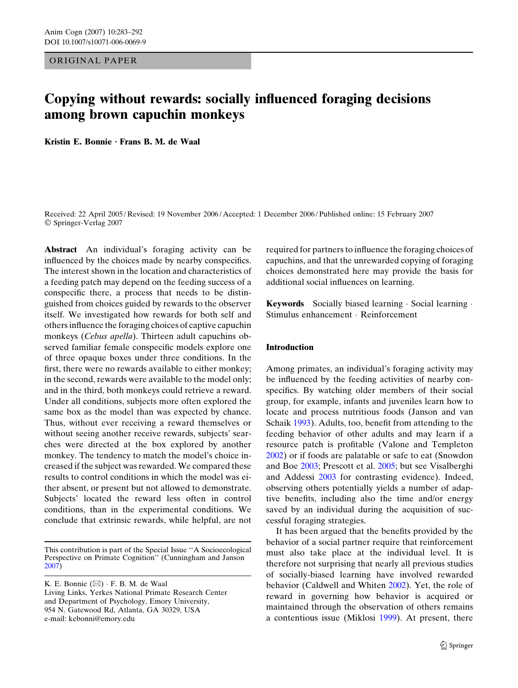ORIGINAL PAPER

# Copying without rewards: socially influenced foraging decisions among brown capuchin monkeys

Kristin E. Bonnie · Frans B. M. de Waal

Received: 22 April 2005 / Revised: 19 November 2006 / Accepted: 1 December 2006 / Published online: 15 February 2007 Springer-Verlag 2007

Abstract An individual's foraging activity can be influenced by the choices made by nearby conspecifics. The interest shown in the location and characteristics of a feeding patch may depend on the feeding success of a conspecific there, a process that needs to be distinguished from choices guided by rewards to the observer itself. We investigated how rewards for both self and others influence the foraging choices of captive capuchin monkeys (Cebus apella). Thirteen adult capuchins observed familiar female conspecific models explore one of three opaque boxes under three conditions. In the first, there were no rewards available to either monkey; in the second, rewards were available to the model only; and in the third, both monkeys could retrieve a reward. Under all conditions, subjects more often explored the same box as the model than was expected by chance. Thus, without ever receiving a reward themselves or without seeing another receive rewards, subjects' searches were directed at the box explored by another monkey. The tendency to match the model's choice increased if the subject was rewarded. We compared these results to control conditions in which the model was either absent, or present but not allowed to demonstrate. Subjects' located the reward less often in control conditions, than in the experimental conditions. We conclude that extrinsic rewards, while helpful, are not

This contribution is part of the Special Issue ''A Socioecological Perspective on Primate Cognition'' (Cunningham and Janson [2007](#page-8-0))

K. E. Bonnie  $(\boxtimes)$  · F. B. M. de Waal Living Links, Yerkes National Primate Research Center and Department of Psychology, Emory University, 954 N. Gatewood Rd, Atlanta, GA 30329, USA e-mail: kebonni@emory.edu

required for partners to influence the foraging choices of capuchins, and that the unrewarded copying of foraging choices demonstrated here may provide the basis for additional social influences on learning.

Keywords Socially biased learning  $\cdot$  Social learning  $\cdot$ Stimulus enhancement · Reinforcement

# Introduction

Among primates, an individual's foraging activity may be influenced by the feeding activities of nearby conspecifics. By watching older members of their social group, for example, infants and juveniles learn how to locate and process nutritious foods (Janson and van Schaik [1993](#page-8-0)). Adults, too, benefit from attending to the feeding behavior of other adults and may learn if a resource patch is profitable (Valone and Templeton [2002](#page-9-0)) or if foods are palatable or safe to eat (Snowdon and Boe [2003;](#page-9-0) Prescott et al. [2005;](#page-8-0) but see Visalberghi and Addessi [2003](#page-9-0) for contrasting evidence). Indeed, observing others potentially yields a number of adaptive benefits, including also the time and/or energy saved by an individual during the acquisition of successful foraging strategies.

It has been argued that the benefits provided by the behavior of a social partner require that reinforcement must also take place at the individual level. It is therefore not surprising that nearly all previous studies of socially-biased learning have involved rewarded behavior (Caldwell and Whiten [2002\)](#page-8-0). Yet, the role of reward in governing how behavior is acquired or maintained through the observation of others remains a contentious issue (Miklosi [1999](#page-8-0)). At present, there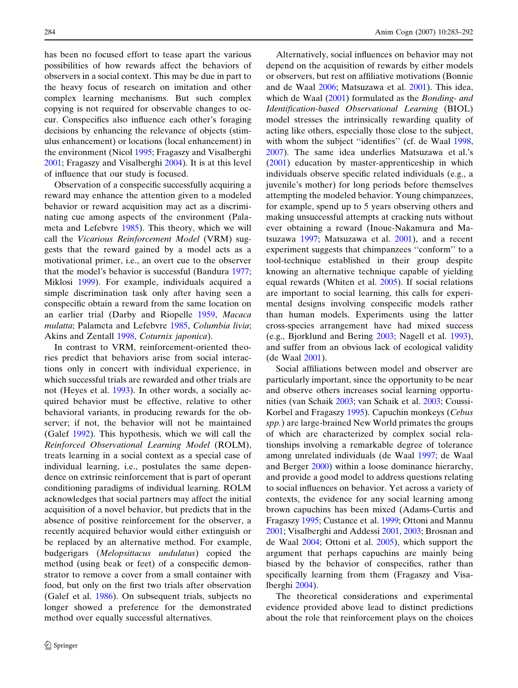has been no focused effort to tease apart the various possibilities of how rewards affect the behaviors of observers in a social context. This may be due in part to the heavy focus of research on imitation and other complex learning mechanisms. But such complex copying is not required for observable changes to occur. Conspecifics also influence each other's foraging decisions by enhancing the relevance of objects (stimulus enhancement) or locations (local enhancement) in the environment (Nicol [1995;](#page-8-0) Fragaszy and Visalberghi [2001;](#page-8-0) Fragaszy and Visalberghi [2004\)](#page-8-0). It is at this level of influence that our study is focused.

Observation of a conspecific successfully acquiring a reward may enhance the attention given to a modeled behavior or reward acquisition may act as a discriminating cue among aspects of the environment (Palameta and Lefebvre [1985\)](#page-8-0). This theory, which we will call the Vicarious Reinforcement Model (VRM) suggests that the reward gained by a model acts as a motivational primer, i.e., an overt cue to the observer that the model's behavior is successful (Bandura [1977;](#page-8-0) Miklosi [1999\)](#page-8-0). For example, individuals acquired a simple discrimination task only after having seen a conspecific obtain a reward from the same location on an earlier trial (Darby and Riopelle [1959](#page-8-0), Macaca mulatta; Palameta and Lefebvre [1985,](#page-8-0) Columbia livia; Akins and Zentall [1998,](#page-8-0) Coturnix japonica).

In contrast to VRM, reinforcement-oriented theories predict that behaviors arise from social interactions only in concert with individual experience, in which successful trials are rewarded and other trials are not (Heyes et al. [1993](#page-8-0)). In other words, a socially acquired behavior must be effective, relative to other behavioral variants, in producing rewards for the observer; if not, the behavior will not be maintained (Galef [1992\)](#page-8-0). This hypothesis, which we will call the Reinforced Observational Learning Model (ROLM), treats learning in a social context as a special case of individual learning, i.e., postulates the same dependence on extrinsic reinforcement that is part of operant conditioning paradigms of individual learning. ROLM acknowledges that social partners may affect the initial acquisition of a novel behavior, but predicts that in the absence of positive reinforcement for the observer, a recently acquired behavior would either extinguish or be replaced by an alternative method. For example, budgerigars (Melopsittacus undulatus) copied the method (using beak or feet) of a conspecific demonstrator to remove a cover from a small container with food, but only on the first two trials after observation (Galef et al. [1986\)](#page-8-0). On subsequent trials, subjects no longer showed a preference for the demonstrated method over equally successful alternatives.

Alternatively, social influences on behavior may not depend on the acquisition of rewards by either models or observers, but rest on affiliative motivations (Bonnie and de Waal [2006;](#page-8-0) Matsuzawa et al. [2001\)](#page-8-0). This idea, which de Waal ([2001\)](#page-9-0) formulated as the *Bonding- and* Identification-based Observational Learning (BIOL) model stresses the intrinsically rewarding quality of acting like others, especially those close to the subject, with whom the subject "identifies" (cf. de Waal [1998,](#page-9-0) [2007](#page-9-0)). The same idea underlies Matsuzawa et al.'s ([2001\)](#page-8-0) education by master-apprenticeship in which individuals observe specific related individuals (e.g., a juvenile's mother) for long periods before themselves attempting the modeled behavior. Young chimpanzees, for example, spend up to 5 years observing others and making unsuccessful attempts at cracking nuts without ever obtaining a reward (Inoue-Nakamura and Matsuzawa [1997;](#page-8-0) Matsuzawa et al. [2001](#page-8-0)), and a recent experiment suggests that chimpanzees ''conform'' to a tool-technique established in their group despite knowing an alternative technique capable of yielding equal rewards (Whiten et al. [2005](#page-9-0)). If social relations are important to social learning, this calls for experimental designs involving conspecific models rather than human models. Experiments using the latter cross-species arrangement have had mixed success (e.g., Bjorklund and Bering [2003](#page-8-0); Nagell et al. [1993\)](#page-8-0), and suffer from an obvious lack of ecological validity (de Waal [2001\)](#page-9-0).

Social affiliations between model and observer are particularly important, since the opportunity to be near and observe others increases social learning opportunities (van Schaik [2003](#page-8-0); van Schaik et al. [2003;](#page-8-0) Coussi-Korbel and Fragaszy [1995](#page-8-0)). Capuchin monkeys (Cebus spp.) are large-brained New World primates the groups of which are characterized by complex social relationships involving a remarkable degree of tolerance among unrelated individuals (de Waal [1997;](#page-9-0) de Waal and Berger [2000](#page-9-0)) within a loose dominance hierarchy, and provide a good model to address questions relating to social influences on behavior. Yet across a variety of contexts, the evidence for any social learning among brown capuchins has been mixed (Adams-Curtis and Fragaszy [1995;](#page-8-0) Custance et al. [1999;](#page-8-0) Ottoni and Mannu [2001](#page-8-0); Visalberghi and Addessi [2001](#page-9-0), [2003](#page-9-0); Brosnan and de Waal [2004;](#page-8-0) Ottoni et al. [2005](#page-8-0)), which support the argument that perhaps capuchins are mainly being biased by the behavior of conspecifics, rather than specifically learning from them (Fragaszy and Visalberghi [2004\)](#page-8-0).

The theoretical considerations and experimental evidence provided above lead to distinct predictions about the role that reinforcement plays on the choices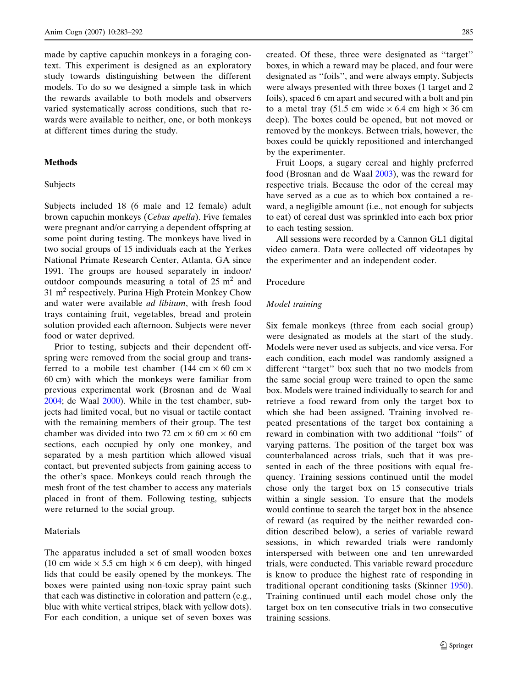made by captive capuchin monkeys in a foraging context. This experiment is designed as an exploratory study towards distinguishing between the different models. To do so we designed a simple task in which the rewards available to both models and observers varied systematically across conditions, such that rewards were available to neither, one, or both monkeys at different times during the study.

### Methods

#### Subjects

Subjects included 18 (6 male and 12 female) adult brown capuchin monkeys (Cebus apella). Five females were pregnant and/or carrying a dependent offspring at some point during testing. The monkeys have lived in two social groups of 15 individuals each at the Yerkes National Primate Research Center, Atlanta, GA since 1991. The groups are housed separately in indoor/ outdoor compounds measuring a total of  $25 \text{ m}^2$  and  $31 \text{ m}^2$  respectively. Purina High Protein Monkey Chow and water were available ad libitum, with fresh food trays containing fruit, vegetables, bread and protein solution provided each afternoon. Subjects were never food or water deprived.

Prior to testing, subjects and their dependent offspring were removed from the social group and transferred to a mobile test chamber (144 cm  $\times$  60 cm  $\times$ 60 cm) with which the monkeys were familiar from previous experimental work (Brosnan and de Waal [2004;](#page-8-0) de Waal [2000](#page-9-0)). While in the test chamber, subjects had limited vocal, but no visual or tactile contact with the remaining members of their group. The test chamber was divided into two 72 cm  $\times$  60 cm  $\times$  60 cm sections, each occupied by only one monkey, and separated by a mesh partition which allowed visual contact, but prevented subjects from gaining access to the other's space. Monkeys could reach through the mesh front of the test chamber to access any materials placed in front of them. Following testing, subjects were returned to the social group.

### Materials

The apparatus included a set of small wooden boxes (10 cm wide  $\times$  5.5 cm high  $\times$  6 cm deep), with hinged lids that could be easily opened by the monkeys. The boxes were painted using non-toxic spray paint such that each was distinctive in coloration and pattern (e.g., blue with white vertical stripes, black with yellow dots). For each condition, a unique set of seven boxes was created. Of these, three were designated as ''target'' boxes, in which a reward may be placed, and four were designated as ''foils'', and were always empty. Subjects were always presented with three boxes (1 target and 2 foils), spaced 6 cm apart and secured with a bolt and pin to a metal tray (51.5 cm wide  $\times$  6.4 cm high  $\times$  36 cm deep). The boxes could be opened, but not moved or removed by the monkeys. Between trials, however, the boxes could be quickly repositioned and interchanged by the experimenter.

Fruit Loops, a sugary cereal and highly preferred food (Brosnan and de Waal [2003\)](#page-8-0), was the reward for respective trials. Because the odor of the cereal may have served as a cue as to which box contained a reward, a negligible amount (i.e., not enough for subjects to eat) of cereal dust was sprinkled into each box prior to each testing session.

All sessions were recorded by a Cannon GL1 digital video camera. Data were collected off videotapes by the experimenter and an independent coder.

#### Procedure

#### Model training

Six female monkeys (three from each social group) were designated as models at the start of the study. Models were never used as subjects, and vice versa. For each condition, each model was randomly assigned a different ''target'' box such that no two models from the same social group were trained to open the same box. Models were trained individually to search for and retrieve a food reward from only the target box to which she had been assigned. Training involved repeated presentations of the target box containing a reward in combination with two additional ''foils'' of varying patterns. The position of the target box was counterbalanced across trials, such that it was presented in each of the three positions with equal frequency. Training sessions continued until the model chose only the target box on 15 consecutive trials within a single session. To ensure that the models would continue to search the target box in the absence of reward (as required by the neither rewarded condition described below), a series of variable reward sessions, in which rewarded trials were randomly interspersed with between one and ten unrewarded trials, were conducted. This variable reward procedure is know to produce the highest rate of responding in traditional operant conditioning tasks (Skinner [1950\)](#page-8-0). Training continued until each model chose only the target box on ten consecutive trials in two consecutive training sessions.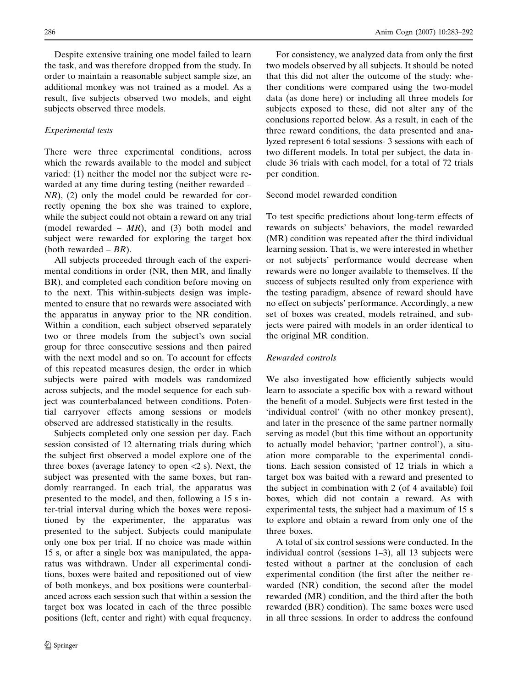Despite extensive training one model failed to learn the task, and was therefore dropped from the study. In order to maintain a reasonable subject sample size, an additional monkey was not trained as a model. As a result, five subjects observed two models, and eight subjects observed three models.

#### Experimental tests

There were three experimental conditions, across which the rewards available to the model and subject varied: (1) neither the model nor the subject were rewarded at any time during testing (neither rewarded –  $NR$ ), (2) only the model could be rewarded for correctly opening the box she was trained to explore, while the subject could not obtain a reward on any trial (model rewarded  $- MR$ ), and (3) both model and subject were rewarded for exploring the target box (both rewarded  $-BR$ ).

All subjects proceeded through each of the experimental conditions in order (NR, then MR, and finally BR), and completed each condition before moving on to the next. This within-subjects design was implemented to ensure that no rewards were associated with the apparatus in anyway prior to the NR condition. Within a condition, each subject observed separately two or three models from the subject's own social group for three consecutive sessions and then paired with the next model and so on. To account for effects of this repeated measures design, the order in which subjects were paired with models was randomized across subjects, and the model sequence for each subject was counterbalanced between conditions. Potential carryover effects among sessions or models observed are addressed statistically in the results.

Subjects completed only one session per day. Each session consisted of 12 alternating trials during which the subject first observed a model explore one of the three boxes (average latency to open  $\langle 2 \rangle$  s). Next, the subject was presented with the same boxes, but randomly rearranged. In each trial, the apparatus was presented to the model, and then, following a 15 s inter-trial interval during which the boxes were repositioned by the experimenter, the apparatus was presented to the subject. Subjects could manipulate only one box per trial. If no choice was made within 15 s, or after a single box was manipulated, the apparatus was withdrawn. Under all experimental conditions, boxes were baited and repositioned out of view of both monkeys, and box positions were counterbalanced across each session such that within a session the target box was located in each of the three possible positions (left, center and right) with equal frequency.

For consistency, we analyzed data from only the first two models observed by all subjects. It should be noted that this did not alter the outcome of the study: whether conditions were compared using the two-model data (as done here) or including all three models for subjects exposed to these, did not alter any of the conclusions reported below. As a result, in each of the three reward conditions, the data presented and analyzed represent 6 total sessions- 3 sessions with each of two different models. In total per subject, the data include 36 trials with each model, for a total of 72 trials per condition.

## Second model rewarded condition

To test specific predictions about long-term effects of rewards on subjects' behaviors, the model rewarded (MR) condition was repeated after the third individual learning session. That is, we were interested in whether or not subjects' performance would decrease when rewards were no longer available to themselves. If the success of subjects resulted only from experience with the testing paradigm, absence of reward should have no effect on subjects' performance. Accordingly, a new set of boxes was created, models retrained, and subjects were paired with models in an order identical to the original MR condition.

#### Rewarded controls

We also investigated how efficiently subjects would learn to associate a specific box with a reward without the benefit of a model. Subjects were first tested in the 'individual control' (with no other monkey present), and later in the presence of the same partner normally serving as model (but this time without an opportunity to actually model behavior; 'partner control'), a situation more comparable to the experimental conditions. Each session consisted of 12 trials in which a target box was baited with a reward and presented to the subject in combination with 2 (of 4 available) foil boxes, which did not contain a reward. As with experimental tests, the subject had a maximum of 15 s to explore and obtain a reward from only one of the three boxes.

A total of six control sessions were conducted. In the individual control (sessions 1–3), all 13 subjects were tested without a partner at the conclusion of each experimental condition (the first after the neither rewarded (NR) condition, the second after the model rewarded (MR) condition, and the third after the both rewarded (BR) condition). The same boxes were used in all three sessions. In order to address the confound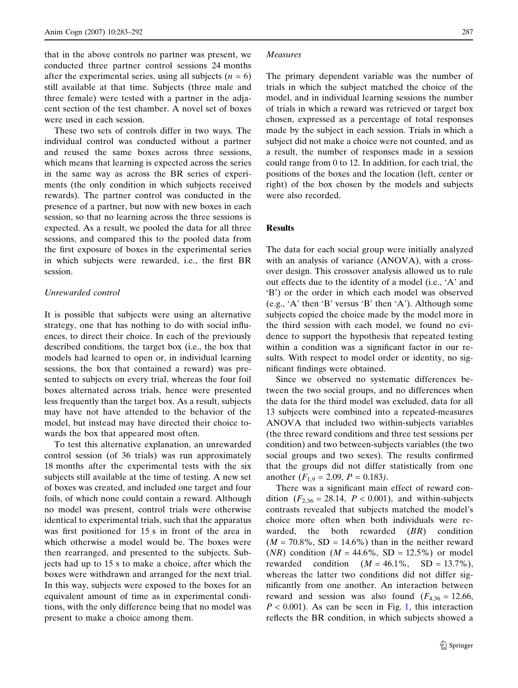that in the above controls no partner was present, we conducted three partner control sessions 24 months after the experimental series, using all subjects  $(n = 6)$ still available at that time. Subjects (three male and three female) were tested with a partner in the adjacent section of the test chamber. A novel set of boxes were used in each session.

These two sets of controls differ in two ways. The individual control was conducted without a partner and reused the same boxes across three sessions, which means that learning is expected across the series in the same way as across the BR series of experiments (the only condition in which subjects received rewards). The partner control was conducted in the presence of a partner, but now with new boxes in each session, so that no learning across the three sessions is expected. As a result, we pooled the data for all three sessions, and compared this to the pooled data from the first exposure of boxes in the experimental series in which subjects were rewarded, i.e., the first BR session.

### Unrewarded control

It is possible that subjects were using an alternative strategy, one that has nothing to do with social influences, to direct their choice. In each of the previously described conditions, the target box (i.e., the box that models had learned to open or, in individual learning sessions, the box that contained a reward) was presented to subjects on every trial, whereas the four foil boxes alternated across trials, hence were presented less frequently than the target box. As a result, subjects may have not have attended to the behavior of the model, but instead may have directed their choice towards the box that appeared most often.

To test this alternative explanation, an unrewarded control session (of 36 trials) was run approximately 18 months after the experimental tests with the six subjects still available at the time of testing. A new set of boxes was created, and included one target and four foils, of which none could contain a reward. Although no model was present, control trials were otherwise identical to experimental trials, such that the apparatus was first positioned for 15 s in front of the area in which otherwise a model would be. The boxes were then rearranged, and presented to the subjects. Subjects had up to 15 s to make a choice, after which the boxes were withdrawn and arranged for the next trial. In this way, subjects were exposed to the boxes for an equivalent amount of time as in experimental conditions, with the only difference being that no model was present to make a choice among them.

#### Measures

The primary dependent variable was the number of trials in which the subject matched the choice of the model, and in individual learning sessions the number of trials in which a reward was retrieved or target box chosen, expressed as a percentage of total responses made by the subject in each session. Trials in which a subject did not make a choice were not counted, and as a result, the number of responses made in a session could range from 0 to 12. In addition, for each trial, the positions of the boxes and the location (left, center or right) of the box chosen by the models and subjects were also recorded.

## **Results**

The data for each social group were initially analyzed with an analysis of variance (ANOVA), with a crossover design. This crossover analysis allowed us to rule out effects due to the identity of a model (i.e., 'A' and 'B') or the order in which each model was observed (e.g., 'A' then 'B' versus 'B' then 'A'). Although some subjects copied the choice made by the model more in the third session with each model, we found no evidence to support the hypothesis that repeated testing within a condition was a significant factor in our results. With respect to model order or identity, no significant findings were obtained.

Since we observed no systematic differences between the two social groups, and no differences when the data for the third model was excluded, data for all 13 subjects were combined into a repeated-measures ANOVA that included two within-subjects variables (the three reward conditions and three test sessions per condition) and two between-subjects variables (the two social groups and two sexes). The results confirmed that the groups did not differ statistically from one another  $(F_{1,9} = 2.09, P = 0.183)$ .

There was a significant main effect of reward condition  $(F_{2,36} = 28.14, P < 0.001)$ , and within-subjects contrasts revealed that subjects matched the model's choice more often when both individuals were rewarded, the both rewarded (BR) condition  $(M = 70.8\%, SD = 14.6\%)$  than in the neither reward  $(NR)$  condition  $(M = 44.6\%, SD = 12.5\%)$  or model rewarded condition  $(M = 46.1\%, SD = 13.7\%),$ whereas the latter two conditions did not differ significantly from one another. An interaction between reward and session was also found  $(F_{4,36} = 12.66,$  $P < 0.001$  $P < 0.001$ ). As can be seen in Fig. 1, this interaction reflects the BR condition, in which subjects showed a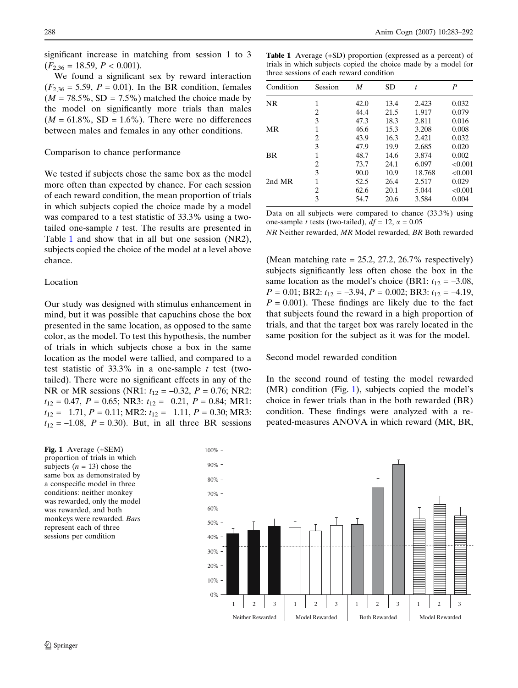<span id="page-5-0"></span>significant increase in matching from session 1 to 3  $(F_{2,36} = 18.59, P < 0.001).$ 

We found a significant sex by reward interaction  $(F_{2,36} = 5.59, P = 0.01)$ . In the BR condition, females  $(M = 78.5\%, SD = 7.5\%)$  matched the choice made by the model on significantly more trials than males  $(M = 61.8\%, SD = 1.6\%)$ . There were no differences between males and females in any other conditions.

### Comparison to chance performance

We tested if subjects chose the same box as the model more often than expected by chance. For each session of each reward condition, the mean proportion of trials in which subjects copied the choice made by a model was compared to a test statistic of 33.3% using a twotailed one-sample  $t$  test. The results are presented in Table 1 and show that in all but one session (NR2), subjects copied the choice of the model at a level above chance.

#### Location

Our study was designed with stimulus enhancement in mind, but it was possible that capuchins chose the box presented in the same location, as opposed to the same color, as the model. To test this hypothesis, the number of trials in which subjects chose a box in the same location as the model were tallied, and compared to a test statistic of  $33.3\%$  in a one-sample t test (twotailed). There were no significant effects in any of the NR or MR sessions (NR1:  $t_{12} = -0.32$ ,  $P = 0.76$ ; NR2:  $t_{12} = 0.47$ ,  $P = 0.65$ ; NR3:  $t_{12} = -0.21$ ,  $P = 0.84$ ; MR1:  $t_{12} = -1.71, P = 0.11; MR2: t_{12} = -1.11, P = 0.30; MR3:$  $t_{12} = -1.08$ ,  $P = 0.30$ . But, in all three BR sessions

Fig. 1 Average (+SEM) proportion of trials in which subjects  $(n = 13)$  chose the same box as demonstrated by a conspecific model in three conditions: neither monkey was rewarded, only the model was rewarded, and both monkeys were rewarded. Bars represent each of three sessions per condition

Table 1 Average (+SD) proportion (expressed as a percent) of trials in which subjects copied the choice made by a model for three sessions of each reward condition

| Condition | Session | M    | <b>SD</b> | t      | P       |
|-----------|---------|------|-----------|--------|---------|
| <b>NR</b> | 1       | 42.0 | 13.4      | 2.423  | 0.032   |
|           | 2       | 44.4 | 21.5      | 1.917  | 0.079   |
|           | 3       | 47.3 | 18.3      | 2.811  | 0.016   |
| MR        | 1       | 46.6 | 15.3      | 3.208  | 0.008   |
|           | 2       | 43.9 | 16.3      | 2.421  | 0.032   |
|           | 3       | 47.9 | 19.9      | 2.685  | 0.020   |
| <b>BR</b> | 1       | 48.7 | 14.6      | 3.874  | 0.002   |
|           | 2       | 73.7 | 24.1      | 6.097  | < 0.001 |
|           | 3       | 90.0 | 10.9      | 18.768 | < 0.001 |
| 2nd MR    | 1       | 52.5 | 26.4      | 2.517  | 0.029   |
|           | 2       | 62.6 | 20.1      | 5.044  | < 0.001 |
|           | 3       | 54.7 | 20.6      | 3.584  | 0.004   |

Data on all subjects were compared to chance (33.3%) using one-sample t tests (two-tailed),  $df = 12$ ,  $\alpha = 0.05$ 

NR Neither rewarded, MR Model rewarded, BR Both rewarded

(Mean matching rate  $= 25.2, 27.2, 26.7\%$  respectively) subjects significantly less often chose the box in the same location as the model's choice (BR1:  $t_{12} = -3.08$ ,  $P = 0.01$ ; BR2:  $t_{12} = -3.94$ ,  $P = 0.002$ ; BR3:  $t_{12} = -4.19$ ,  $P = 0.001$ ). These findings are likely due to the fact that subjects found the reward in a high proportion of trials, and that the target box was rarely located in the same position for the subject as it was for the model.

# Second model rewarded condition

In the second round of testing the model rewarded (MR) condition (Fig. 1), subjects copied the model's choice in fewer trials than in the both rewarded (BR) condition. These findings were analyzed with a repeated-measures ANOVA in which reward (MR, BR,

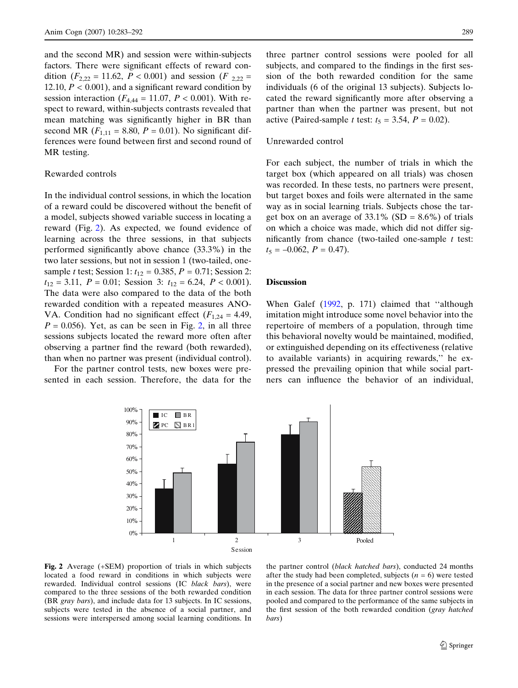and the second MR) and session were within-subjects factors. There were significant effects of reward condition ( $F_{2,22} = 11.62$ ,  $P < 0.001$ ) and session ( $F_{2,22} =$ 12.10,  $P < 0.001$ ), and a significant reward condition by session interaction ( $F_{4,44} = 11.07, P < 0.001$ ). With respect to reward, within-subjects contrasts revealed that mean matching was significantly higher in BR than second MR ( $F_{1,11} = 8.80, P = 0.01$ ). No significant differences were found between first and second round of MR testing.

#### Rewarded controls

In the individual control sessions, in which the location of a reward could be discovered without the benefit of a model, subjects showed variable success in locating a reward (Fig. 2). As expected, we found evidence of learning across the three sessions, in that subjects performed significantly above chance (33.3%) in the two later sessions, but not in session 1 (two-tailed, onesample *t* test; Session 1:  $t_{12} = 0.385$ ,  $P = 0.71$ ; Session 2:  $t_{12} = 3.11$ ,  $P = 0.01$ ; Session 3:  $t_{12} = 6.24$ ,  $P < 0.001$ ). The data were also compared to the data of the both rewarded condition with a repeated measures ANO-VA. Condition had no significant effect  $(F<sub>1,24</sub> = 4.49)$ ,  $P = 0.056$ . Yet, as can be seen in Fig. 2, in all three sessions subjects located the reward more often after observing a partner find the reward (both rewarded), than when no partner was present (individual control).

For the partner control tests, new boxes were presented in each session. Therefore, the data for the

three partner control sessions were pooled for all subjects, and compared to the findings in the first session of the both rewarded condition for the same individuals (6 of the original 13 subjects). Subjects located the reward significantly more after observing a partner than when the partner was present, but not active (Paired-sample t test:  $t_5 = 3.54$ ,  $P = 0.02$ ).

## Unrewarded control

For each subject, the number of trials in which the target box (which appeared on all trials) was chosen was recorded. In these tests, no partners were present, but target boxes and foils were alternated in the same way as in social learning trials. Subjects chose the target box on an average of  $33.1\%$  (SD =  $8.6\%$ ) of trials on which a choice was made, which did not differ significantly from chance (two-tailed one-sample  $t$  test:  $t_5 = -0.062, P = 0.47$ .

#### **Discussion**

When Galef ([1992,](#page-8-0) p. 171) claimed that ''although imitation might introduce some novel behavior into the repertoire of members of a population, through time this behavioral novelty would be maintained, modified, or extinguished depending on its effectiveness (relative to available variants) in acquiring rewards,'' he expressed the prevailing opinion that while social partners can influence the behavior of an individual,



Fig. 2 Average (+SEM) proportion of trials in which subjects located a food reward in conditions in which subjects were rewarded. Individual control sessions (IC black bars), were compared to the three sessions of the both rewarded condition (BR gray bars), and include data for 13 subjects. In IC sessions, subjects were tested in the absence of a social partner, and sessions were interspersed among social learning conditions. In

the partner control (black hatched bars), conducted 24 months after the study had been completed, subjects  $(n = 6)$  were tested in the presence of a social partner and new boxes were presented in each session. The data for three partner control sessions were pooled and compared to the performance of the same subjects in the first session of the both rewarded condition (gray hatched bars)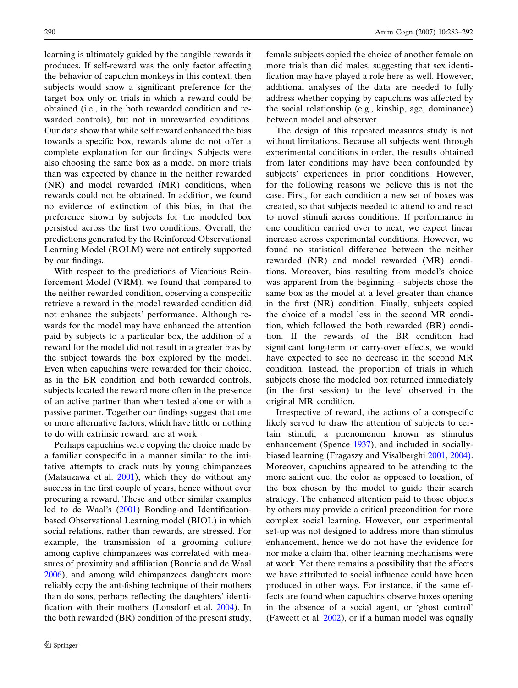learning is ultimately guided by the tangible rewards it produces. If self-reward was the only factor affecting the behavior of capuchin monkeys in this context, then subjects would show a significant preference for the target box only on trials in which a reward could be obtained (i.e., in the both rewarded condition and rewarded controls), but not in unrewarded conditions. Our data show that while self reward enhanced the bias towards a specific box, rewards alone do not offer a complete explanation for our findings. Subjects were also choosing the same box as a model on more trials than was expected by chance in the neither rewarded (NR) and model rewarded (MR) conditions, when rewards could not be obtained. In addition, we found no evidence of extinction of this bias, in that the preference shown by subjects for the modeled box persisted across the first two conditions. Overall, the predictions generated by the Reinforced Observational Learning Model (ROLM) were not entirely supported by our findings.

With respect to the predictions of Vicarious Reinforcement Model (VRM), we found that compared to the neither rewarded condition, observing a conspecific retrieve a reward in the model rewarded condition did not enhance the subjects' performance. Although rewards for the model may have enhanced the attention paid by subjects to a particular box, the addition of a reward for the model did not result in a greater bias by the subject towards the box explored by the model. Even when capuchins were rewarded for their choice, as in the BR condition and both rewarded controls, subjects located the reward more often in the presence of an active partner than when tested alone or with a passive partner. Together our findings suggest that one or more alternative factors, which have little or nothing to do with extrinsic reward, are at work.

Perhaps capuchins were copying the choice made by a familiar conspecific in a manner similar to the imitative attempts to crack nuts by young chimpanzees (Matsuzawa et al.  $2001$ ), which they do without any success in the first couple of years, hence without ever procuring a reward. These and other similar examples led to de Waal's [\(2001](#page-9-0)) Bonding-and Identificationbased Observational Learning model (BIOL) in which social relations, rather than rewards, are stressed. For example, the transmission of a grooming culture among captive chimpanzees was correlated with measures of proximity and affiliation (Bonnie and de Waal [2006\)](#page-8-0), and among wild chimpanzees daughters more reliably copy the ant-fishing technique of their mothers than do sons, perhaps reflecting the daughters' identification with their mothers (Lonsdorf et al. [2004](#page-8-0)). In the both rewarded (BR) condition of the present study,

female subjects copied the choice of another female on more trials than did males, suggesting that sex identification may have played a role here as well. However, additional analyses of the data are needed to fully address whether copying by capuchins was affected by the social relationship (e.g., kinship, age, dominance) between model and observer.

The design of this repeated measures study is not without limitations. Because all subjects went through experimental conditions in order, the results obtained from later conditions may have been confounded by subjects' experiences in prior conditions. However, for the following reasons we believe this is not the case. First, for each condition a new set of boxes was created, so that subjects needed to attend to and react to novel stimuli across conditions. If performance in one condition carried over to next, we expect linear increase across experimental conditions. However, we found no statistical difference between the neither rewarded (NR) and model rewarded (MR) conditions. Moreover, bias resulting from model's choice was apparent from the beginning - subjects chose the same box as the model at a level greater than chance in the first (NR) condition. Finally, subjects copied the choice of a model less in the second MR condition, which followed the both rewarded (BR) condition. If the rewards of the BR condition had significant long-term or carry-over effects, we would have expected to see no decrease in the second MR condition. Instead, the proportion of trials in which subjects chose the modeled box returned immediately (in the first session) to the level observed in the original MR condition.

Irrespective of reward, the actions of a conspecific likely served to draw the attention of subjects to certain stimuli, a phenomenon known as stimulus enhancement (Spence [1937](#page-9-0)), and included in sociallybiased learning (Fragaszy and Visalberghi [2001](#page-8-0), [2004\).](#page-8-0) Moreover, capuchins appeared to be attending to the more salient cue, the color as opposed to location, of the box chosen by the model to guide their search strategy. The enhanced attention paid to those objects by others may provide a critical precondition for more complex social learning. However, our experimental set-up was not designed to address more than stimulus enhancement, hence we do not have the evidence for nor make a claim that other learning mechanisms were at work. Yet there remains a possibility that the affects we have attributed to social influence could have been produced in other ways. For instance, if the same effects are found when capuchins observe boxes opening in the absence of a social agent, or 'ghost control' (Fawcett et al. [2002](#page-8-0)), or if a human model was equally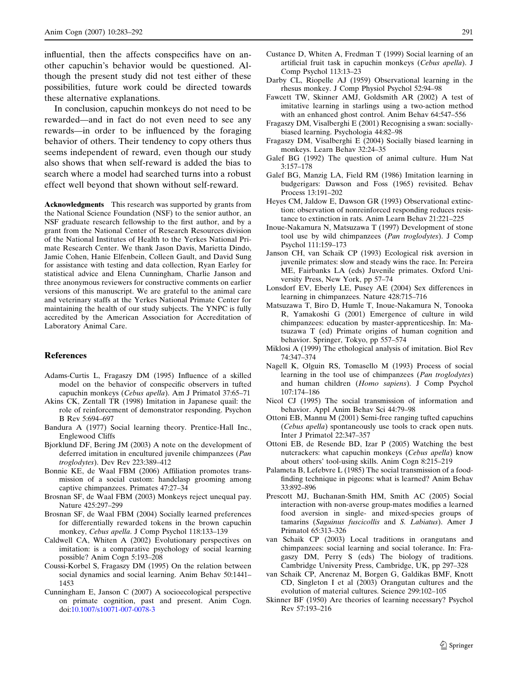<span id="page-8-0"></span>influential, then the affects conspecifics have on another capuchin's behavior would be questioned. Although the present study did not test either of these possibilities, future work could be directed towards these alternative explanations.

In conclusion, capuchin monkeys do not need to be rewarded—and in fact do not even need to see any rewards—in order to be influenced by the foraging behavior of others. Their tendency to copy others thus seems independent of reward, even though our study also shows that when self-reward is added the bias to search where a model had searched turns into a robust effect well beyond that shown without self-reward.

Acknowledgments This research was supported by grants from the National Science Foundation (NSF) to the senior author, an NSF graduate research fellowship to the first author, and by a grant from the National Center of Research Resources division of the National Institutes of Health to the Yerkes National Primate Research Center. We thank Jason Davis, Marietta Dindo, Jamie Cohen, Hanie Elfenbein, Colleen Gault, and David Sung for assistance with testing and data collection, Ryan Earley for statistical advice and Elena Cunningham, Charlie Janson and three anonymous reviewers for constructive comments on earlier versions of this manuscript. We are grateful to the animal care and veterinary staffs at the Yerkes National Primate Center for maintaining the health of our study subjects. The YNPC is fully accredited by the American Association for Accreditation of Laboratory Animal Care.

#### References

- Adams-Curtis L, Fragaszy DM (1995) Influence of a skilled model on the behavior of conspecific observers in tufted capuchin monkeys (Cebus apella). Am J Primatol 37:65–71
- Akins CK, Zentall TR (1998) Imitation in Japanese quail: the role of reinforcement of demonstrator responding. Psychon B Rev 5:694–697
- Bandura A (1977) Social learning theory. Prentice-Hall Inc., Englewood Cliffs
- Bjorklund DF, Bering JM (2003) A note on the development of deferred imitation in encultured juvenile chimpanzees (Pan troglodytes). Dev Rev 223:389–412
- Bonnie KE, de Waal FBM (2006) Affiliation promotes transmission of a social custom: handclasp grooming among captive chimpanzees. Primates 47:27–34
- Brosnan SF, de Waal FBM (2003) Monkeys reject unequal pay. Nature 425:297–299
- Brosnan SF, de Waal FBM (2004) Socially learned preferences for differentially rewarded tokens in the brown capuchin monkey, Cebus apella. J Comp Psychol 118:133–139
- Caldwell CA, Whiten A (2002) Evolutionary perspectives on imitation: is a comparative psychology of social learning possible? Anim Cogn 5:193–208
- Coussi-Korbel S, Fragaszy DM (1995) On the relation between social dynamics and social learning. Anim Behav 50:1441– 1453
- Cunningham E, Janson C (2007) A socioecological perspective on primate cognition, past and present. Anim Cogn. doi:10.1007/s10071-007-0078-3
- Custance D, Whiten A, Fredman T (1999) Social learning of an artificial fruit task in capuchin monkeys (Cebus apella). J Comp Psychol 113:13–23
- Darby CL, Riopelle AJ (1959) Observational learning in the rhesus monkey. J Comp Physiol Psychol 52:94–98
- Fawcett TW, Skinner AMJ, Goldsmith AR (2002) A test of imitative learning in starlings using a two-action method with an enhanced ghost control. Anim Behav 64:547–556
- Fragaszy DM, Visalberghi E (2001) Recognising a swan: sociallybiased learning. Psychologia 44:82–98
- Fragaszy DM, Visalberghi E (2004) Socially biased learning in monkeys. Learn Behav 32:24–35
- Galef BG (1992) The question of animal culture. Hum Nat 3:157–178
- Galef BG, Manzig LA, Field RM (1986) Imitation learning in budgerigars: Dawson and Foss (1965) revisited. Behav Process 13:191–202
- Heyes CM, Jaldow E, Dawson GR (1993) Observational extinction: observation of nonreinforced responding reduces resistance to extinction in rats. Anim Learn Behav 21:221–225
- Inoue-Nakamura N, Matsuzawa T (1997) Development of stone tool use by wild chimpanzees (Pan troglodytes). J Comp Psychol 111:159–173
- Janson CH, van Schaik CP (1993) Ecological risk aversion in juvenile primates: slow and steady wins the race. In: Pereira ME, Fairbanks LA (eds) Juvenile primates. Oxford University Press, New York, pp 57–74
- Lonsdorf EV, Eberly LE, Pusey AE (2004) Sex differences in learning in chimpanzees. Nature 428:715–716
- Matsuzawa T, Biro D, Humle T, Inoue-Nakamura N, Tonooka R, Yamakoshi G (2001) Emergence of culture in wild chimpanzees: education by master-apprenticeship. In: Matsuzawa T (ed) Primate origins of human cognition and behavior. Springer, Tokyo, pp 557–574
- Miklosi A (1999) The ethological analysis of imitation. Biol Rev 74:347–374
- Nagell K, Olguin RS, Tomasello M (1993) Process of social learning in the tool use of chimpanzees (Pan troglodytes) and human children (Homo sapiens). J Comp Psychol 107:174–186
- Nicol CJ (1995) The social transmission of information and behavior. Appl Anim Behav Sci 44:79–98
- Ottoni EB, Mannu M (2001) Semi-free ranging tufted capuchins (Cebus apella) spontaneously use tools to crack open nuts. Inter J Primatol 22:347–357
- Ottoni EB, de Resende BD, Izar P (2005) Watching the best nutcrackers: what capuchin monkeys (*Cebus apella*) know about others' tool-using skills. Anim Cogn 8:215–219
- Palameta B, Lefebvre L (1985) The social transmission of a foodfinding technique in pigeons: what is learned? Anim Behav 33:892–896
- Prescott MJ, Buchanan-Smith HM, Smith AC (2005) Social interaction with non-averse group-mates modifies a learned food aversion in single- and mixed-species groups of tamarins (Saguinus fuscicollis and S. Labiatus). Amer J Primatol 65:313–326
- van Schaik CP (2003) Local traditions in orangutans and chimpanzees: social learning and social tolerance. In: Fragaszy DM, Perry S (eds) The biology of traditions. Cambridge University Press, Cambridge, UK, pp 297–328
- van Schaik CP, Ancrenaz M, Borgen G, Galdikas BMF, Knott CD, Singleton I et al (2003) Orangutan cultures and the evolution of material cultures. Science 299:102–105
- Skinner BF (1950) Are theories of learning necessary? Psychol Rev 57:193–216